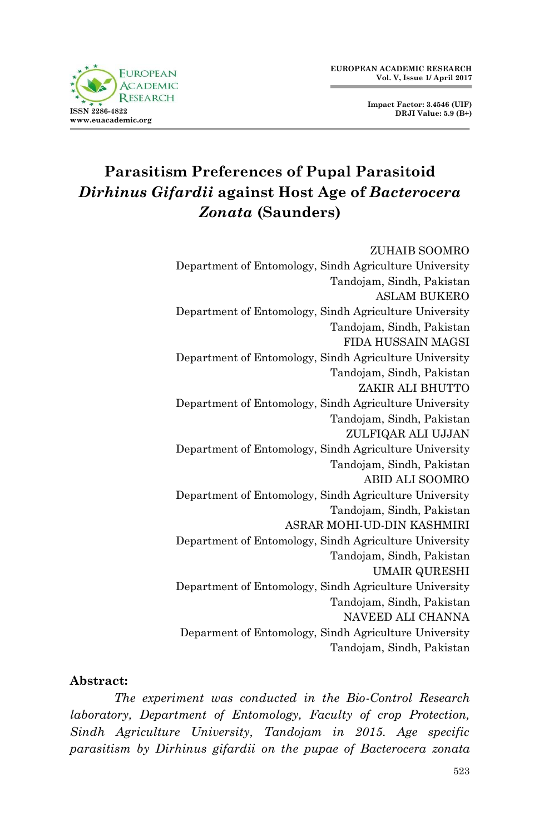



# **Parasitism Preferences of Pupal Parasitoid**  *Dirhinus Gifardii* **against Host Age of** *Bacterocera Zonata* **(Saunders)**

# ZUHAIB SOOMRO Department of Entomology, Sindh Agriculture University Tandojam, Sindh, Pakistan ASLAM BUKERO

Department of Entomology, Sindh Agriculture University Tandojam, Sindh, Pakistan FIDA HUSSAIN MAGSI Department of Entomology, Sindh Agriculture University Tandojam, Sindh, Pakistan ZAKIR ALI BHUTTO Department of Entomology, Sindh Agriculture University Tandojam, Sindh, Pakistan ZULFIQAR ALI UJJAN Department of Entomology, Sindh Agriculture University Tandojam, Sindh, Pakistan ABID ALI SOOMRO Department of Entomology, Sindh Agriculture University Tandojam, Sindh, Pakistan ASRAR MOHI-UD-DIN KASHMIRI Department of Entomology, Sindh Agriculture University Tandojam, Sindh, Pakistan UMAIR QURESHI Department of Entomology, Sindh Agriculture University Tandojam, Sindh, Pakistan NAVEED ALI CHANNA Deparment of Entomology, Sindh Agriculture University Tandojam, Sindh, Pakistan

#### **Abstract:**

*The experiment was conducted in the Bio-Control Research laboratory, Department of Entomology, Faculty of crop Protection, Sindh Agriculture University, Tandojam in 2015. Age specific parasitism by Dirhinus gifardii on the pupae of Bacterocera zonata*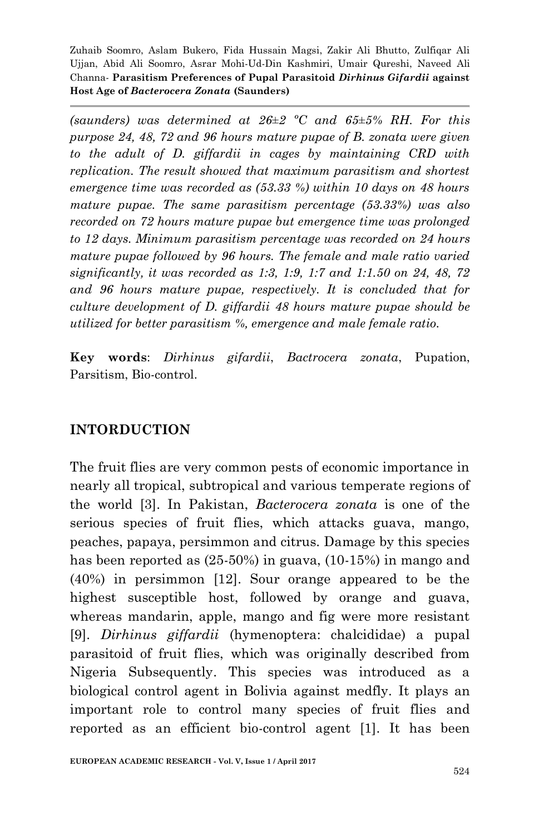*(saunders) was determined at 26±2 ºC and 65±5% RH. For this purpose 24, 48, 72 and 96 hours mature pupae of B. zonata were given to the adult of D. giffardii in cages by maintaining CRD with replication. The result showed that maximum parasitism and shortest emergence time was recorded as (53.33 %) within 10 days on 48 hours mature pupae. The same parasitism percentage (53.33%) was also recorded on 72 hours mature pupae but emergence time was prolonged to 12 days. Minimum parasitism percentage was recorded on 24 hours mature pupae followed by 96 hours. The female and male ratio varied significantly, it was recorded as 1:3, 1:9, 1:7 and 1:1.50 on 24, 48, 72 and 96 hours mature pupae, respectively. It is concluded that for culture development of D. giffardii 48 hours mature pupae should be utilized for better parasitism %, emergence and male female ratio.*

**Key words**: *Dirhinus gifardii*, *Bactrocera zonata*, Pupation, Parsitism, Bio-control.

## **INTORDUCTION**

The fruit flies are very common pests of economic importance in nearly all tropical, subtropical and various temperate regions of the world [3]. In Pakistan, *Bacterocera zonata* is one of the serious species of fruit flies, which attacks guava, mango, peaches, papaya, persimmon and citrus. Damage by this species has been reported as (25-50%) in guava, (10-15%) in mango and (40%) in persimmon [12]. Sour orange appeared to be the highest susceptible host, followed by orange and guava, whereas mandarin, apple, mango and fig were more resistant [9]. *Dirhinus giffardii* (hymenoptera: chalcididae) a pupal parasitoid of fruit flies, which was originally described from Nigeria Subsequently. This species was introduced as a biological control agent in Bolivia against medfly. It plays an important role to control many species of fruit flies and reported as an efficient bio-control agent [1]. It has been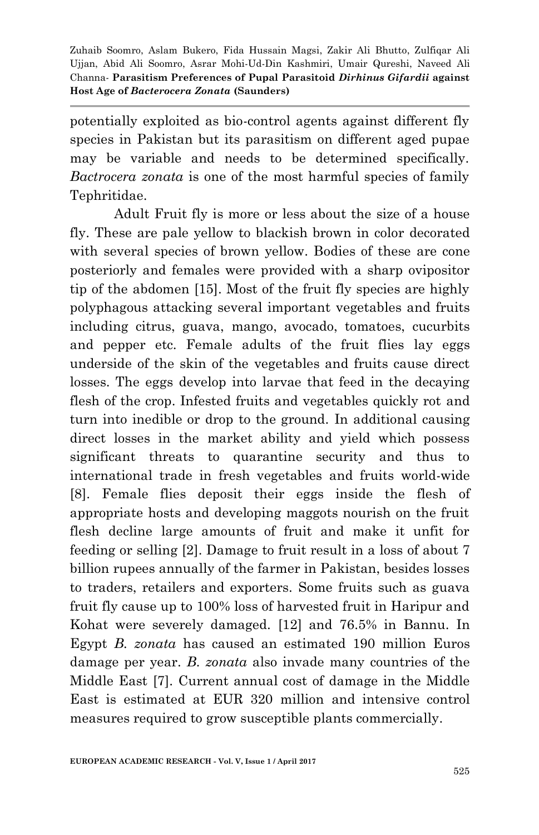potentially exploited as bio-control agents against different fly species in Pakistan but its parasitism on different aged pupae may be variable and needs to be determined specifically. *Bactrocera zonata* is one of the most harmful species of family Tephritidae.

Adult Fruit fly is more or less about the size of a house fly. These are pale yellow to blackish brown in color decorated with several species of brown yellow. Bodies of these are cone posteriorly and females were provided with a sharp ovipositor tip of the abdomen [15]. Most of the fruit fly species are highly polyphagous attacking several important vegetables and fruits including citrus, guava, mango, avocado, tomatoes, cucurbits and pepper etc. Female adults of the fruit flies lay eggs underside of the skin of the vegetables and fruits cause direct losses. The eggs develop into larvae that feed in the decaying flesh of the crop. Infested fruits and vegetables quickly rot and turn into inedible or drop to the ground. In additional causing direct losses in the market ability and yield which possess significant threats to quarantine security and thus to international trade in fresh vegetables and fruits world-wide [8]. Female flies deposit their eggs inside the flesh of appropriate hosts and developing maggots nourish on the fruit flesh decline large amounts of fruit and make it unfit for feeding or selling [2]. Damage to fruit result in a loss of about 7 billion rupees annually of the farmer in Pakistan, besides losses to traders, retailers and exporters. Some fruits such as guava fruit fly cause up to 100% loss of harvested fruit in Haripur and Kohat were severely damaged. [12] and 76.5% in Bannu. In Egypt *B. zonata* has caused an estimated 190 million Euros damage per year. *B. zonata* also invade many countries of the Middle East [7]. Current annual cost of damage in the Middle East is estimated at EUR 320 million and intensive control measures required to grow susceptible plants commercially.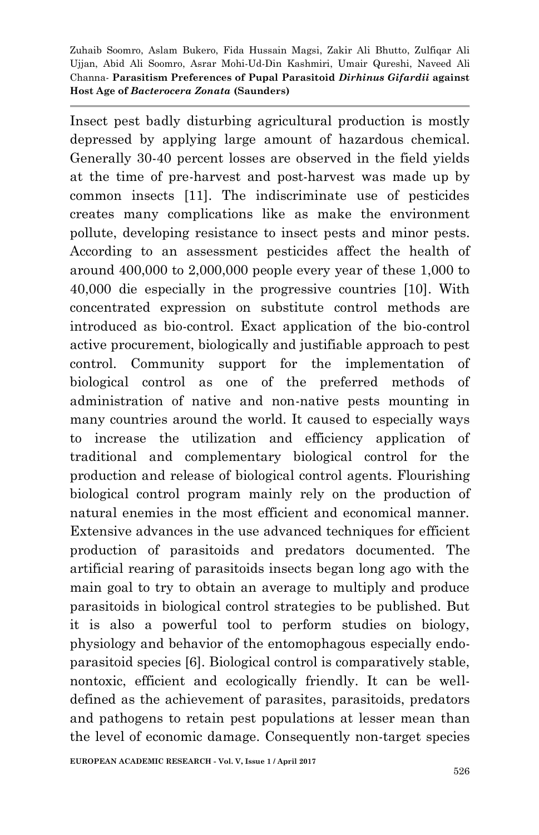Insect pest badly disturbing agricultural production is mostly depressed by applying large amount of hazardous chemical. Generally 30-40 percent losses are observed in the field yields at the time of pre-harvest and post-harvest was made up by common insects [11]. The indiscriminate use of pesticides creates many complications like as make the environment pollute, developing resistance to insect pests and minor pests. According to an assessment pesticides affect the health of around 400,000 to 2,000,000 people every year of these 1,000 to 40,000 die especially in the progressive countries [10]. With concentrated expression on substitute control methods are introduced as bio-control. Exact application of the bio-control active procurement, biologically and justifiable approach to pest control. Community support for the implementation of biological control as one of the preferred methods of administration of native and non-native pests mounting in many countries around the world. It caused to especially ways to increase the utilization and efficiency application of traditional and complementary biological control for the production and release of biological control agents. Flourishing biological control program mainly rely on the production of natural enemies in the most efficient and economical manner. Extensive advances in the use advanced techniques for efficient production of parasitoids and predators documented. The artificial rearing of parasitoids insects began long ago with the main goal to try to obtain an average to multiply and produce parasitoids in biological control strategies to be published. But it is also a powerful tool to perform studies on biology, physiology and behavior of the entomophagous especially endoparasitoid species [6]. Biological control is comparatively stable, nontoxic, efficient and ecologically friendly. It can be welldefined as the achievement of parasites, parasitoids, predators and pathogens to retain pest populations at lesser mean than the level of economic damage. Consequently non-target species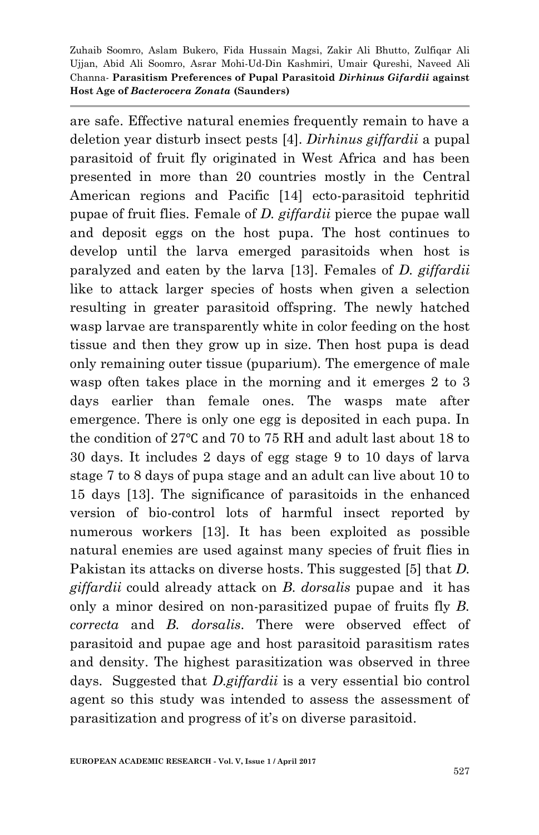are safe. Effective natural enemies frequently remain to have a deletion year disturb insect pests [4]. *Dirhinus giffardii* a pupal parasitoid of fruit fly originated in West Africa and has been presented in more than 20 countries mostly in the Central American regions and Pacific [14] ecto-parasitoid tephritid pupae of fruit flies. Female of *D. giffardii* pierce the pupae wall and deposit eggs on the host pupa. The host continues to develop until the larva emerged parasitoids when host is paralyzed and eaten by the larva [13]. Females of *D. giffardii* like to attack larger species of hosts when given a selection resulting in greater parasitoid offspring. The newly hatched wasp larvae are transparently white in color feeding on the host tissue and then they grow up in size. Then host pupa is dead only remaining outer tissue (puparium). The emergence of male wasp often takes place in the morning and it emerges 2 to 3 days earlier than female ones. The wasps mate after emergence. There is only one egg is deposited in each pupa. In the condition of 27℃ and 70 to 75 RH and adult last about 18 to 30 days. It includes 2 days of egg stage 9 to 10 days of larva stage 7 to 8 days of pupa stage and an adult can live about 10 to 15 days [13]. The significance of parasitoids in the enhanced version of bio-control lots of harmful insect reported by numerous workers [13]. It has been exploited as possible natural enemies are used against many species of fruit flies in Pakistan its attacks on diverse hosts. This suggested [5] that *D. giffardii* could already attack on *B. dorsalis* pupae and it has only a minor desired on non-parasitized pupae of fruits fly *B. correcta* and *B. dorsalis*. There were observed effect of parasitoid and pupae age and host parasitoid parasitism rates and density. The highest parasitization was observed in three days. Suggested that *D.giffardii* is a very essential bio control agent so this study was intended to assess the assessment of parasitization and progress of it's on diverse parasitoid.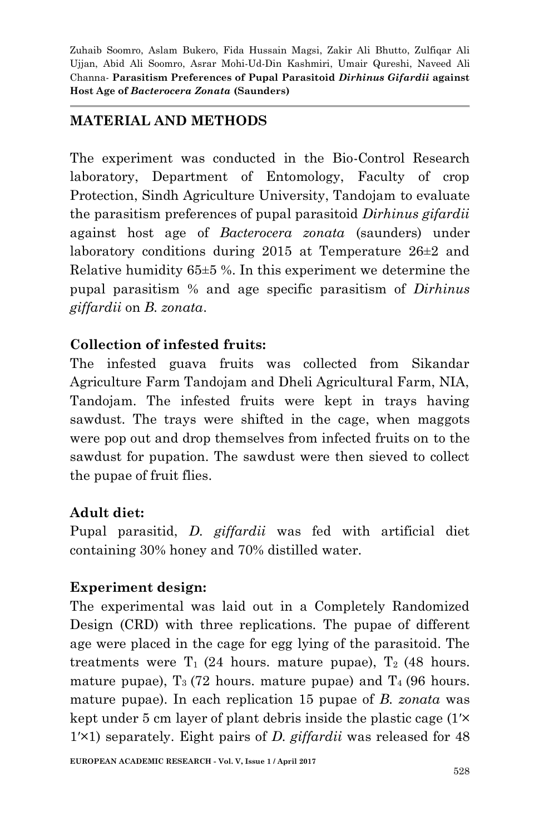## **MATERIAL AND METHODS**

The experiment was conducted in the Bio-Control Research laboratory, Department of Entomology, Faculty of crop Protection, Sindh Agriculture University, Tandojam to evaluate the parasitism preferences of pupal parasitoid *Dirhinus gifardii* against host age of *Bacterocera zonata* (saunders) under laboratory conditions during 2015 at Temperature 26±2 and Relative humidity  $65\pm5$  %. In this experiment we determine the pupal parasitism % and age specific parasitism of *Dirhinus giffardii* on *B. zonata*.

## **Collection of infested fruits:**

The infested guava fruits was collected from Sikandar Agriculture Farm Tandojam and Dheli Agricultural Farm, NIA, Tandojam. The infested fruits were kept in trays having sawdust. The trays were shifted in the cage, when maggots were pop out and drop themselves from infected fruits on to the sawdust for pupation. The sawdust were then sieved to collect the pupae of fruit flies.

## **Adult diet:**

Pupal parasitid, *D. giffardii* was fed with artificial diet containing 30% honey and 70% distilled water.

## **Experiment design:**

The experimental was laid out in a Completely Randomized Design (CRD) with three replications. The pupae of different age were placed in the cage for egg lying of the parasitoid. The treatments were  $T_1$  (24 hours. mature pupae),  $T_2$  (48 hours. mature pupae),  $T_3$  (72 hours. mature pupae) and  $T_4$  (96 hours. mature pupae). In each replication 15 pupae of *B. zonata* was kept under 5 cm layer of plant debris inside the plastic cage (1ʹ× 1ʹ×1) separately. Eight pairs of *D. giffardii* was released for 48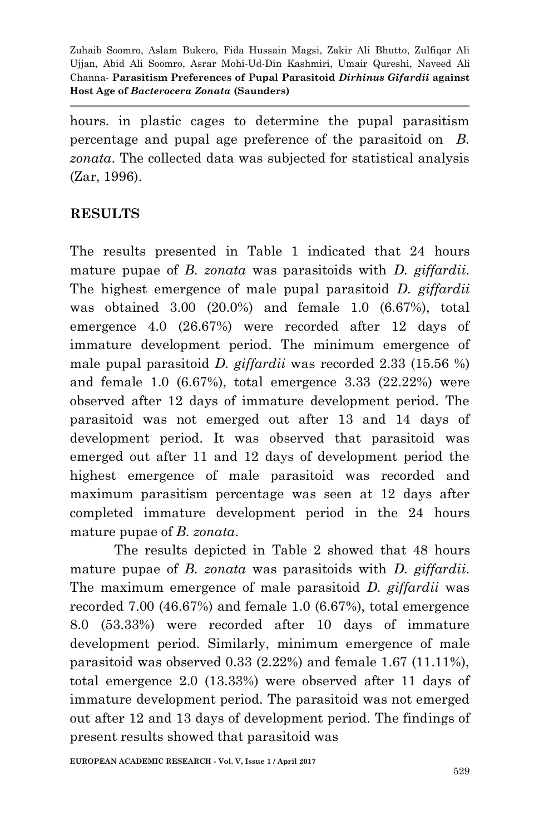hours. in plastic cages to determine the pupal parasitism percentage and pupal age preference of the parasitoid on *B. zonata*. The collected data was subjected for statistical analysis (Zar, 1996).

## **RESULTS**

The results presented in Table 1 indicated that 24 hours mature pupae of *B. zonata* was parasitoids with *D. giffardii*. The highest emergence of male pupal parasitoid *D. giffardii* was obtained 3.00 (20.0%) and female 1.0 (6.67%), total emergence 4.0 (26.67%) were recorded after 12 days of immature development period. The minimum emergence of male pupal parasitoid *D. giffardii* was recorded 2.33 (15.56 %) and female 1.0 (6.67%), total emergence 3.33 (22.22%) were observed after 12 days of immature development period. The parasitoid was not emerged out after 13 and 14 days of development period. It was observed that parasitoid was emerged out after 11 and 12 days of development period the highest emergence of male parasitoid was recorded and maximum parasitism percentage was seen at 12 days after completed immature development period in the 24 hours mature pupae of *B. zonata*.

The results depicted in Table 2 showed that 48 hours mature pupae of *B. zonata* was parasitoids with *D. giffardii*. The maximum emergence of male parasitoid *D. giffardii* was recorded 7.00 (46.67%) and female 1.0 (6.67%), total emergence 8.0 (53.33%) were recorded after 10 days of immature development period. Similarly, minimum emergence of male parasitoid was observed 0.33 (2.22%) and female 1.67 (11.11%), total emergence 2.0 (13.33%) were observed after 11 days of immature development period. The parasitoid was not emerged out after 12 and 13 days of development period. The findings of present results showed that parasitoid was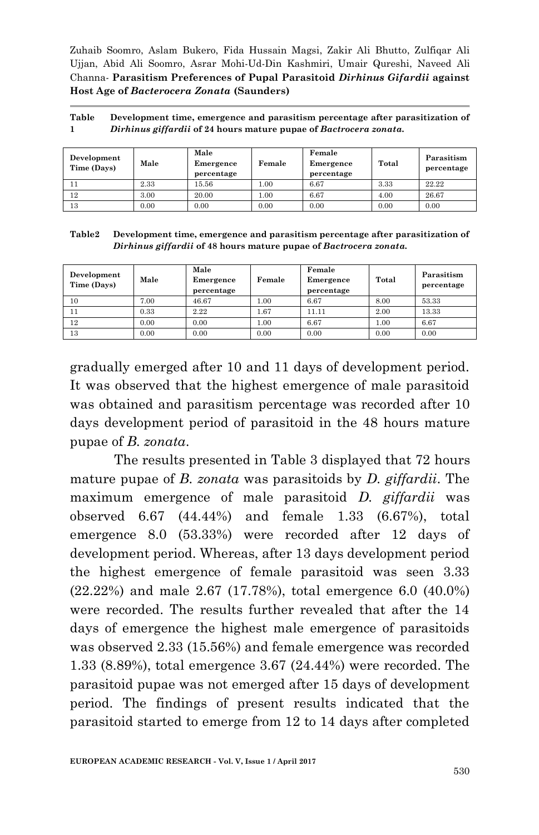| Table | Development time, emergence and parasitism percentage after parasitization of |
|-------|-------------------------------------------------------------------------------|
|       | Dirhinus giffardii of 24 hours mature pupae of Bactrocera zonata.             |

| Development<br>Time (Days) | Male | Male<br>Emergence<br>percentage | Female | Female<br>Emergence<br>percentage | Total | Parasitism<br>percentage |
|----------------------------|------|---------------------------------|--------|-----------------------------------|-------|--------------------------|
|                            | 2.33 | 15.56                           | 1.00   | 6.67                              | 3.33  | 22.22                    |
| 12                         | 3.00 | 20.00                           | 00.1   | 6.67                              | 4.00  | 26.67                    |
| 13                         | 0.00 | 0.00                            | 0.00   | 0.00                              | 0.00  | 0.00                     |

| Table2 | Development time, emergence and parasitism percentage after parasitization of |
|--------|-------------------------------------------------------------------------------|
|        | Dirhinus giffardii of 48 hours mature pupae of Bactrocera zonata.             |

| Development<br>Time (Days) | Male | Male<br>Emergence<br>percentage | Female | Female<br>Emergence<br>percentage | Total | Parasitism<br>percentage |
|----------------------------|------|---------------------------------|--------|-----------------------------------|-------|--------------------------|
| 10                         | 7.00 | 46.67                           | 1.00   | 6.67                              | 8.00  | 53.33                    |
| 11                         | 0.33 | 2.22                            | 1.67   | 11.11                             | 2.00  | 13.33                    |
| 12                         | 0.00 | 0.00                            | 1.00   | 6.67                              | 1.00  | 6.67                     |
| 13                         | 0.00 | 0.00                            | 0.00   | 0.00                              | 0.00  | 0.00                     |

gradually emerged after 10 and 11 days of development period. It was observed that the highest emergence of male parasitoid was obtained and parasitism percentage was recorded after 10 days development period of parasitoid in the 48 hours mature pupae of *B. zonata*.

The results presented in Table 3 displayed that 72 hours mature pupae of *B. zonata* was parasitoids by *D. giffardii*. The maximum emergence of male parasitoid *D. giffardii* was observed 6.67 (44.44%) and female 1.33 (6.67%), total emergence 8.0 (53.33%) were recorded after 12 days of development period. Whereas, after 13 days development period the highest emergence of female parasitoid was seen 3.33 (22.22%) and male 2.67 (17.78%), total emergence 6.0 (40.0%) were recorded. The results further revealed that after the 14 days of emergence the highest male emergence of parasitoids was observed 2.33 (15.56%) and female emergence was recorded 1.33 (8.89%), total emergence 3.67 (24.44%) were recorded. The parasitoid pupae was not emerged after 15 days of development period. The findings of present results indicated that the parasitoid started to emerge from 12 to 14 days after completed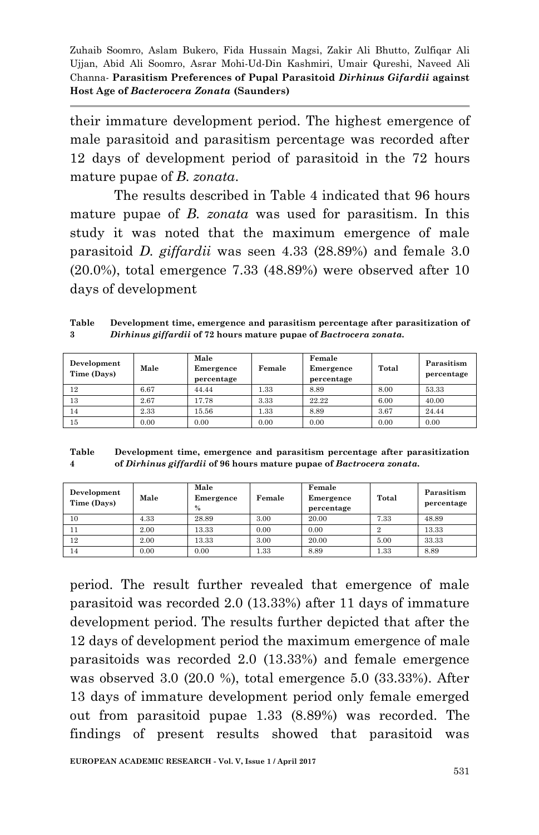their immature development period. The highest emergence of male parasitoid and parasitism percentage was recorded after 12 days of development period of parasitoid in the 72 hours mature pupae of *B. zonata*.

The results described in Table 4 indicated that 96 hours mature pupae of *B. zonata* was used for parasitism. In this study it was noted that the maximum emergence of male parasitoid *D. giffardii* was seen 4.33 (28.89%) and female 3.0 (20.0%), total emergence 7.33 (48.89%) were observed after 10 days of development

**Table 3 Development time, emergence and parasitism percentage after parasitization of**  *Dirhinus giffardii* **of 72 hours mature pupae of** *Bactrocera zonata.*

| Development<br>Time (Days) | Male | Male<br>Emergence<br>percentage | Female | Female<br>Emergence<br>percentage | Total | Parasitism<br>percentage |
|----------------------------|------|---------------------------------|--------|-----------------------------------|-------|--------------------------|
| 12                         | 6.67 | 44.44                           | 1.33   | 8.89                              | 8.00  | 53.33                    |
| 13                         | 2.67 | 17.78                           | 3.33   | 22.22                             | 6.00  | 40.00                    |
| 14                         | 2.33 | 15.56                           | 1.33   | 8.89                              | 3.67  | 24.44                    |
| 15                         | 0.00 | 0.00                            | 0.00   | 0.00                              | 0.00  | 0.00                     |

| Table          | Development time, emergence and parasitism percentage after parasitization |
|----------------|----------------------------------------------------------------------------|
| $\overline{4}$ | of Dirhinus giffardii of 96 hours mature pupae of Bactrocera zonata.       |

| Development<br>Time (Days) | Male | Male<br>Emergence<br>$\%$ | Female | Female<br>Emergence<br>percentage | Total | Parasitism<br>percentage |
|----------------------------|------|---------------------------|--------|-----------------------------------|-------|--------------------------|
| 10                         | 4.33 | 28.89                     | 3.00   | 20.00                             | 7.33  | 48.89                    |
| 11                         | 2.00 | 13.33                     | 0.00   | 0.00                              |       | 13.33                    |
| 12                         | 2.00 | 13.33                     | 3.00   | 20.00                             | 5.00  | 33.33                    |
| 14                         | 0.00 | 0.00                      | 1.33   | 8.89                              | 1.33  | 8.89                     |

period. The result further revealed that emergence of male parasitoid was recorded 2.0 (13.33%) after 11 days of immature development period. The results further depicted that after the 12 days of development period the maximum emergence of male parasitoids was recorded 2.0 (13.33%) and female emergence was observed 3.0 (20.0 %), total emergence 5.0 (33.33%). After 13 days of immature development period only female emerged out from parasitoid pupae 1.33 (8.89%) was recorded. The findings of present results showed that parasitoid was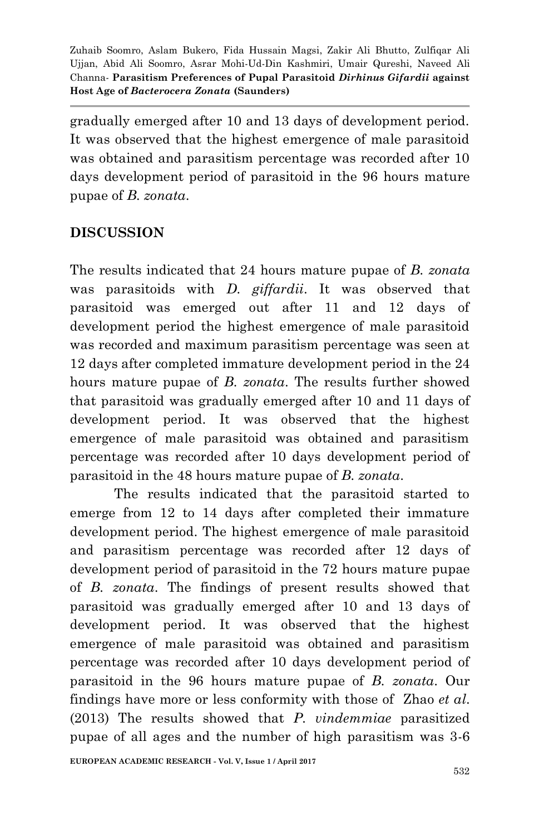gradually emerged after 10 and 13 days of development period. It was observed that the highest emergence of male parasitoid was obtained and parasitism percentage was recorded after 10 days development period of parasitoid in the 96 hours mature pupae of *B. zonata*.

## **DISCUSSION**

The results indicated that 24 hours mature pupae of *B. zonata* was parasitoids with *D. giffardii*. It was observed that parasitoid was emerged out after 11 and 12 days of development period the highest emergence of male parasitoid was recorded and maximum parasitism percentage was seen at 12 days after completed immature development period in the 24 hours mature pupae of *B. zonata*. The results further showed that parasitoid was gradually emerged after 10 and 11 days of development period. It was observed that the highest emergence of male parasitoid was obtained and parasitism percentage was recorded after 10 days development period of parasitoid in the 48 hours mature pupae of *B. zonata*.

The results indicated that the parasitoid started to emerge from 12 to 14 days after completed their immature development period. The highest emergence of male parasitoid and parasitism percentage was recorded after 12 days of development period of parasitoid in the 72 hours mature pupae of *B. zonata*. The findings of present results showed that parasitoid was gradually emerged after 10 and 13 days of development period. It was observed that the highest emergence of male parasitoid was obtained and parasitism percentage was recorded after 10 days development period of parasitoid in the 96 hours mature pupae of *B. zonata*. Our findings have more or less conformity with those of Zhao *et al*. (2013) The results showed that *P. vindemmiae* parasitized pupae of all ages and the number of high parasitism was 3-6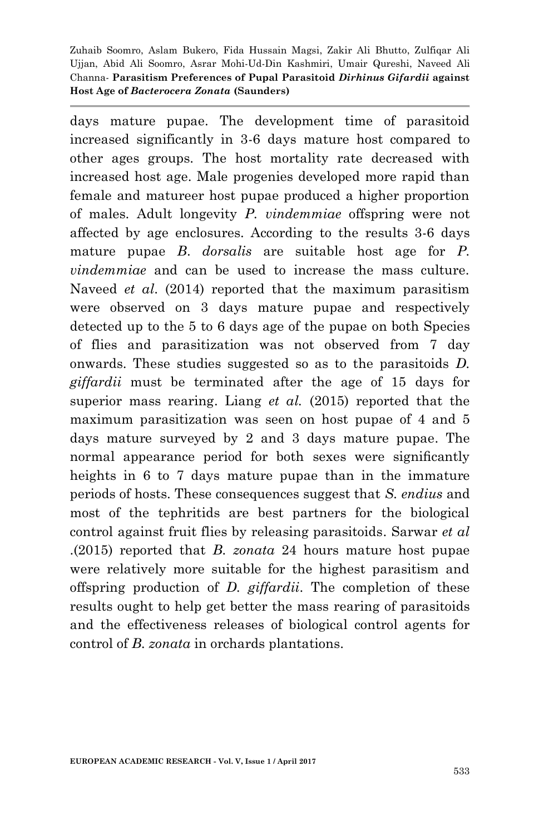days mature pupae. The development time of parasitoid increased significantly in 3-6 days mature host compared to other ages groups. The host mortality rate decreased with increased host age. Male progenies developed more rapid than female and matureer host pupae produced a higher proportion of males. Adult longevity *P. vindemmiae* offspring were not affected by age enclosures. According to the results 3-6 days mature pupae *B*. *dorsalis* are suitable host age for *P. vindemmiae* and can be used to increase the mass culture. Naveed *et al*. (2014) reported that the maximum parasitism were observed on 3 days mature pupae and respectively detected up to the 5 to 6 days age of the pupae on both Species of flies and parasitization was not observed from 7 day onwards. These studies suggested so as to the parasitoids *D. giffardii* must be terminated after the age of 15 days for superior mass rearing. Liang *et al.* (2015) reported that the maximum parasitization was seen on host pupae of 4 and 5 days mature surveyed by 2 and 3 days mature pupae. The normal appearance period for both sexes were significantly heights in 6 to 7 days mature pupae than in the immature periods of hosts. These consequences suggest that *S. endius* and most of the tephritids are best partners for the biological control against fruit flies by releasing parasitoids. Sarwar *et al* .(2015) reported that *B. zonata* 24 hours mature host pupae were relatively more suitable for the highest parasitism and offspring production of *D. giffardii*. The completion of these results ought to help get better the mass rearing of parasitoids and the effectiveness releases of biological control agents for control of *B. zonata* in orchards plantations.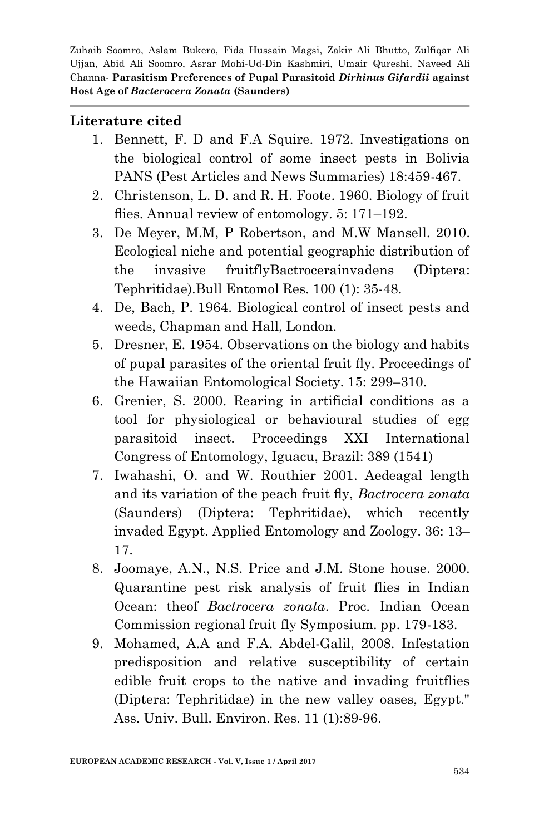#### **Literature cited**

- 1. Bennett, F. D and F.A Squire. 1972. Investigations on the biological control of some insect pests in Bolivia PANS (Pest Articles and News Summaries) 18:459-467.
- 2. Christenson, L. D. and R. H. Foote. 1960. Biology of fruit flies. Annual review of entomology. 5: 171–192.
- 3. De Meyer, M.M, P Robertson, and M.W Mansell. 2010. Ecological niche and potential geographic distribution of the invasive fruitflyBactrocerainvadens (Diptera: Tephritidae).Bull Entomol Res. 100 (1): 35-48.
- 4. De, Bach, P. 1964. Biological control of insect pests and weeds, Chapman and Hall, London.
- 5. Dresner, E. 1954. Observations on the biology and habits of pupal parasites of the oriental fruit fly. Proceedings of the Hawaiian Entomological Society. 15: 299–310.
- 6. Grenier, S. 2000. Rearing in artificial conditions as a tool for physiological or behavioural studies of egg parasitoid insect. Proceedings XXI International Congress of Entomology, Iguacu, Brazil: 389 (1541)
- 7. Iwahashi, O. and W. Routhier 2001. Aedeagal length and its variation of the peach fruit fly, *Bactrocera zonata* (Saunders) (Diptera: Tephritidae), which recently invaded Egypt. Applied Entomology and Zoology. 36: 13– 17.
- 8. Joomaye, A.N., N.S. Price and J.M. Stone house. 2000. Quarantine pest risk analysis of fruit flies in Indian Ocean: theof *Bactrocera zonata*. Proc. Indian Ocean Commission regional fruit fly Symposium. pp. 179-183.
- 9. Mohamed, A.A and F.A. Abdel-Galil, 2008. Infestation predisposition and relative susceptibility of certain edible fruit crops to the native and invading fruitflies (Diptera: Tephritidae) in the new valley oases, Egypt." Ass. Univ. Bull. Environ. Res. 11 (1):89-96.